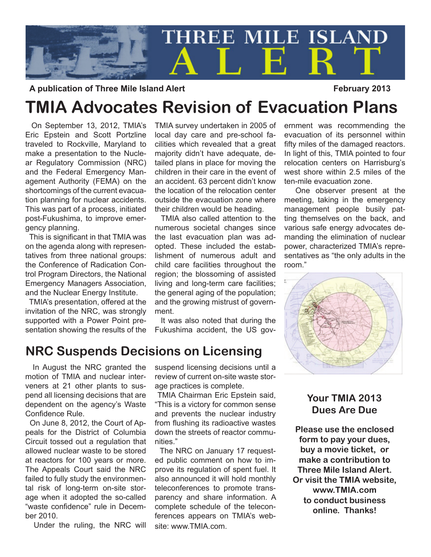

A publication of Three Mile Island Alert **February 2013** 

# **TMIA Advocates Revision of Evacuation Plans**

 On September 13, 2012, TMIA's Eric Epstein and Scott Portzline traveled to Rockville, Maryland to make a presentation to the Nuclear Regulatory Commission (NRC) and the Federal Emergency Management Authority (FEMA) on the shortcomings of the current evacuation planning for nuclear accidents. This was part of a process, initiated post-Fukushima, to improve emergency planning.

 This is significant in that TMIA was on the agenda along with representatives from three national groups: the Conference of Radication Control Program Directors, the National Emergency Managers Association, and the Nuclear Energy Institute.

 TMIA's presentation, offered at the invitation of the NRC, was strongly supported with a Power Point presentation showing the results of the TMIA survey undertaken in 2005 of local day care and pre-school facilities which revealed that a great majority didn't have adequate, detailed plans in place for moving the children in their care in the event of an accident. 63 percent didn't know the location of the relocation center outside the evacuation zone where their children would be heading.

 TMIA also called attention to the numerous societal changes since the last evacuation plan was adopted. These included the establishment of numerous adult and child care facilities throughout the region; the blossoming of assisted living and long-term care facilities; the general aging of the population; and the growing mistrust of government.

 It was also noted that during the Fukushima accident, the US government was recommending the evacuation of its personnel within fifty miles of the damaged reactors. In light of this, TMIA pointed to four relocation centers on Harrisburg's west shore within 2.5 miles of the ten-mile evacuation zone.

 One observer present at the meeting, taking in the emergency management people busily patting themselves on the back, and various safe energy advocates demanding the elimination of nuclear power, characterized TMIA's representatives as "the only adults in the room."



#### **NRC Suspends Decisions on Licensing**

 In August the NRC granted the motion of TMIA and nuclear interveners at 21 other plants to suspend all licensing decisions that are dependent on the agency's Waste Confidence Rule.

 On June 8, 2012, the Court of Appeals for the District of Columbia Circuit tossed out a regulation that allowed nuclear waste to be stored at reactors for 100 years or more. The Appeals Court said the NRC failed to fully study the environmental risk of long-term on-site storage when it adopted the so-called "waste confidence" rule in December 2010.

Under the ruling, the NRC will

suspend licensing decisions until a review of current on-site waste storage practices is complete.

 TMIA Chairman Eric Epstein said, "This is a victory for common sense and prevents the nuclear industry from flushing its radioactive wastes down the streets of reactor communities."

 The NRC on January 17 requested public comment on how to improve its regulation of spent fuel. It also announced it will hold monthly teleconferences to promote transparency and share information. A complete schedule of the teleconferences appears on TMIA's website: www.TMIA.com.

#### **Your TMIA 2013 Dues Are Due**

**Please use the enclosed form to pay your dues, buy a movie ticket, or make a contribution to Three Mile Island Alert. Or visit the TMIA website, www.TMIA.com to conduct business online. Thanks!**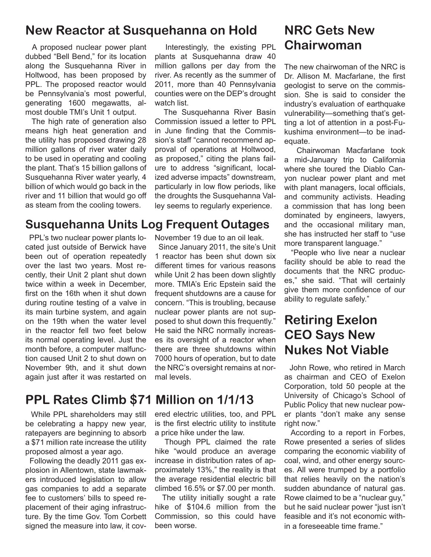#### **New Reactor at Susquehanna on Hold**

 A proposed nuclear power plant dubbed "Bell Bend," for its location along the Susquehanna River in Holtwood, has been proposed by PPL. The proposed reactor would be Pennsylvania's most powerful, generating 1600 megawatts, almost double TMI's Unit 1 output.

 The high rate of generation also means high heat generation and the utility has proposed drawing 28 million gallons of river water daily to be used in operating and cooling the plant. That's 15 billion gallons of Susquehanna River water yearly, 4 billion of which would go back in the river and 11 billion that would go off as steam from the cooling towers.

#### **Susquehanna Units Log Frequent Outages**

 PPL's two nuclear power plants located just outside of Berwick have been out of operation repeatedly over the last two years. Most recently, their Unit 2 plant shut down twice within a week in December, first on the 16th when it shut down during routine testing of a valve in its main turbine system, and again on the 19th when the water level in the reactor fell two feet below its normal operating level. Just the month before, a computer malfunction caused Unit 2 to shut down on November 9th, and it shut down again just after it was restarted on

#### **PPL Rates Climb \$71 Million on 1/1/13**

 While PPL shareholders may still be celebrating a happy new year, ratepayers are beginning to absorb a \$71 million rate increase the utility proposed almost a year ago.

 Following the deadly 2011 gas explosion in Allentown, state lawmakers introduced legislation to allow gas companies to add a separate fee to customers' bills to speed replacement of their aging infrastructure. By the time Gov. Tom Corbett signed the measure into law, it cov-

 Interestingly, the existing PPL plants at Susquehanna draw 40 million gallons per day from the river. As recently as the summer of 2011, more than 40 Pennsylvania counties were on the DEP's drought watch list.

 The Susquehanna River Basin Commission issued a letter to PPL in June finding that the Commission's staff "cannot recommend approval of operations at Holtwood, as proposed," citing the plans failure to address "significant, localized adverse impacts" downstream, particularly in low flow periods, like the droughts the Susquehanna Valley seems to regularly experience.

November 19 due to an oil leak.

 Since January 2011, the site's Unit 1 reactor has been shut down six different times for various reasons while Unit 2 has been down slightly more. TMIA's Eric Epstein said the frequent shutdowns are a cause for concern. "This is troubling, because nuclear power plants are not supposed to shut down this frequently." He said the NRC normally increases its oversight of a reactor when there are three shutdowns within 7000 hours of operation, but to date the NRC's oversight remains at normal levels.

ered electric utilities, too, and PPL is the first electric utility to institute a price hike under the law.

 Though PPL claimed the rate hike "would produce an average increase in distribution rates of approximately 13%," the reality is that the average residential electric bill climbed 16.5% or \$7.00 per month.

 The utility initially sought a rate hike of \$104.6 million from the Commission, so this could have been worse.

## **NRC Gets New Chairwoman**

The new chairwoman of the NRC is Dr. Allison M. Macfarlane, the first geologist to serve on the commission. She is said to consider the industry's evaluation of earthquake vulnerability-something that's getting a lot of attention in a post-Fukushima environment—to be inadequate.

 Chairwoman Macfarlane took a mid-January trip to California where she toured the Diablo Canyon nuclear power plant and met with plant managers, local officials, and community activists. Heading a commission that has long been dominated by engineers, lawyers, and the occasional military man, she has instructed her staff to "use more transparent language."

 "People who live near a nuclear facility should be able to read the documents that the NRC produces," she said. "That will certainly give them more confidence of our ability to regulate safely."

## **Retiring Exelon CEO Says New Nukes Not Viable**

 John Rowe, who retired in March as chairman and CEO of Exelon Corporation, told 50 people at the University of Chicago's School of Public Policy that new nuclear power plants "don't make any sense right now."

 According to a report in Forbes, Rowe presented a series of slides comparing the economic viability of coal, wind, and other energy sources. All were trumped by a portfolio that relies heavily on the nation's sudden abundance of natural gas. Rowe claimed to be a "nuclear guy," but he said nuclear power "just isn't feasible and it's not economic within a foreseeable time frame."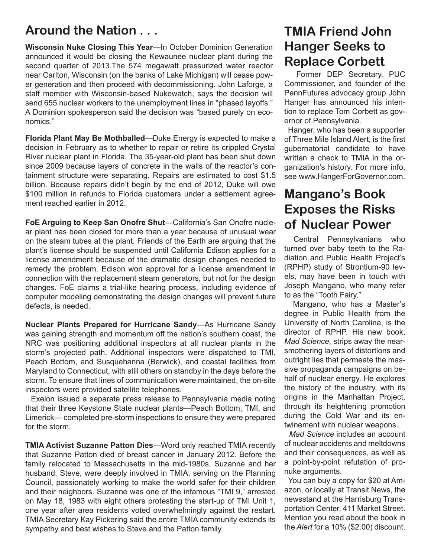#### **Around the Nation . . .**

**Wisconsin Nuke Closing This Year**—In October Dominion Generation announced it would be closing the Kewaunee nuclear plant during the second quarter of 2013.The 574 megawatt pressurized water reactor near Carlton, Wisconsin (on the banks of Lake Michigan) will cease power generation and then proceed with decommissioning. John Laforge, a staff member with Wisconsin-based Nukewatch, says the decision will send 655 nuclear workers to the unemployment lines in "phased layoffs." A Dominion spokesperson said the decision was "based purely on economics."

**Florida Plant May Be Mothballed**—Duke Energy is expected to make a decision in February as to whether to repair or retire its crippled Crystal River nuclear plant in Florida. The 35-year-old plant has been shut down since 2009 because layers of concrete in the walls of the reactor's containment structure were separating. Repairs are estimated to cost \$1.5 billion. Because repairs didn't begin by the end of 2012, Duke will owe \$100 million in refunds to Florida customers under a settlement agreement reached earlier in 2012.

**FoE Arguing to Keep San Onofre Shut**—California's San Onofre nuclear plant has been closed for more than a year because of unusual wear on the steam tubes at the plant. Friends of the Earth are arguing that the plant's license should be suspended until California Edison applies for a license amendment because of the dramatic design changes needed to remedy the problem. Edison won approval for a license amendment in connection with the replacement steam generators, but not for the design changes. FoE claims a trial-like hearing process, including evidence of computer modeling demonstrating the design changes will prevent future defects, is needed.

**Nuclear Plants Prepared for Hurricane Sandy**—As Hurricane Sandy was gaining strength and momentum off the nation's southern coast, the NRC was positioning additional inspectors at all nuclear plants in the storm's projected path. Additional inspectors were dispatched to TMI, Peach Bottom, and Susquehanna (Berwick), and coastal facilities from Maryland to Connecticut, with still others on standby in the days before the storm. To ensure that lines of communication were maintained, the on-site inspectors were provided satellite telephones.

 Exelon issued a separate press release to Pennsylvania media noting that their three Keystone State nuclear plants—Peach Bottom, TMI, and Limerick— completed pre-storm inspections to ensure they were prepared for the storm.

**TMIA Activist Suzanne Patton Dies**—Word only reached TMIA recently that Suzanne Patton died of breast cancer in January 2012. Before the family relocated to Massachusetts in the mid-1980s, Suzanne and her husband, Steve, were deeply involved in TMIA, serving on the Planning Council, passionately working to make the world safer for their children and their neighbors. Suzanne was one of the infamous "TMI 9," arrested on May 18, 1983 with eight others protesting the start-up of TMI Unit 1, one year after area residents voted overwhelmingly against the restart. TMIA Secretary Kay Pickering said the entire TMIA community extends its sympathy and best wishes to Steve and the Patton family.

## **TMIA Friend John Hanger Seeks to Replace Corbett**

 Former DEP Secretary, PUC Commissioner, and founder of the PennFutures advocacy group John Hanger has announced his intention to replace Tom Corbett as governor of Pennsylvania.

 Hanger, who has been a supporter of Three Mile Island Alert, is the first gubernatorial candidate to have written a check to TMIA in the organization's history. For more info, see www.HangerForGovernor.com.

#### **Mangano's Book Exposes the Risks of Nuclear Power**

 Central Pennsylvanians who turned over baby teeth to the Radiation and Public Health Project's (RPHP) study of Strontium-90 levels, may have been in touch with Joseph Mangano, who many refer to as the "Tooth Fairy."

 Mangano, who has a Master's degree in Public Health from the University of North Carolina, is the director of RPHP. His new book, *Mad Science*, strips away the nearsmothering layers of distortions and outright lies that permeate the massive propaganda campaigns on behalf of nuclear energy. He explores the history of the industry, with its origins in the Manhattan Project, through its heightening promotion during the Cold War and its entwinement with nuclear weapons.

 *Mad Science* includes an account of nuclear accidents and meltdowns and their consequences, as well as a point-by-point refutation of pronuke arguments.

 You can buy a copy for \$20 at Amazon, or locally at Transit News, the newsstand at the Harrisburg Transportation Center, 411 Market Street. Mention you read about the book in the *Alert* for a 10% (\$2.00) discount.